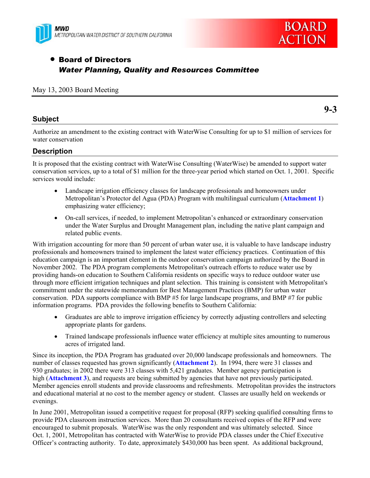



# **• Board of Directors** *Water Planning, Quality and Resources Committee*

#### May 13, 2003 Board Meeting

#### **Subject**

**9-3** 

Authorize an amendment to the existing contract with WaterWise Consulting for up to \$1 million of services for water conservation

#### **Description**

It is proposed that the existing contract with WaterWise Consulting (WaterWise) be amended to support water conservation services, up to a total of \$1 million for the three-year period which started on Oct. 1, 2001. Specific services would include:

- Landscape irrigation efficiency classes for landscape professionals and homeowners under Metropolitan's Protector del Agua (PDA) Program with multilingual curriculum (**Attachment 1**) emphasizing water efficiency;
- On-call services, if needed, to implement Metropolitan's enhanced or extraordinary conservation under the Water Surplus and Drought Management plan, including the native plant campaign and related public events.

With irrigation accounting for more than 50 percent of urban water use, it is valuable to have landscape industry professionals and homeowners trained to implement the latest water efficiency practices. Continuation of this education campaign is an important element in the outdoor conservation campaign authorized by the Board in November 2002. The PDA program complements Metropolitan's outreach efforts to reduce water use by providing hands-on education to Southern California residents on specific ways to reduce outdoor water use through more efficient irrigation techniques and plant selection. This training is consistent with Metropolitan's commitment under the statewide memorandum for Best Management Practices (BMP) for urban water conservation. PDA supports compliance with BMP #5 for large landscape programs, and BMP #7 for public information programs. PDA provides the following benefits to Southern California:

- Graduates are able to improve irrigation efficiency by correctly adjusting controllers and selecting appropriate plants for gardens.
- Trained landscape professionals influence water efficiency at multiple sites amounting to numerous acres of irrigated land.

Since its inception, the PDA Program has graduated over 20,000 landscape professionals and homeowners. The number of classes requested has grown significantly (**Attachment 2**). In 1994, there were 31 classes and 930 graduates; in 2002 there were 313 classes with 5,421 graduates. Member agency participation is high (**Attachment 3**), and requests are being submitted by agencies that have not previously participated. Member agencies enroll students and provide classrooms and refreshments. Metropolitan provides the instructors and educational material at no cost to the member agency or student. Classes are usually held on weekends or evenings.

In June 2001, Metropolitan issued a competitive request for proposal (RFP) seeking qualified consulting firms to provide PDA classroom instruction services. More than 20 consultants received copies of the RFP and were encouraged to submit proposals. WaterWise was the only respondent and was ultimately selected. Since Oct. 1, 2001, Metropolitan has contracted with WaterWise to provide PDA classes under the Chief Executive Officer's contracting authority. To date, approximately \$430,000 has been spent. As additional background,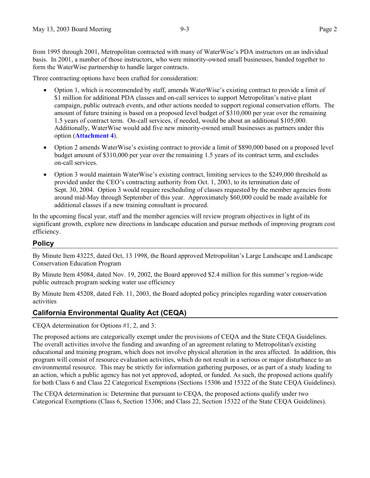from 1995 through 2001, Metropolitan contracted with many of WaterWise's PDA instructors on an individual basis. In 2001, a number of those instructors, who were minority-owned small businesses, banded together to form the WaterWise partnership to handle larger contracts.

Three contracting options have been crafted for consideration:

- x Option 1, which is recommended by staff, amends WaterWise's existing contract to provide a limit of \$1 million for additional PDA classes and on-call services to support Metropolitan's native plant campaign, public outreach events, and other actions needed to support regional conservation efforts. The amount of future training is based on a proposed level budget of \$310,000 per year over the remaining 1.5 years of contract term. On-call services, if needed, would be about an additional \$105,000. Additionally, WaterWise would add five new minority-owned small businesses as partners under this option (**Attachment 4**).
- Option 2 amends WaterWise's existing contract to provide a limit of \$890,000 based on a proposed level budget amount of \$310,000 per year over the remaining 1.5 years of its contract term, and excludes on-call services.
- x Option 3 would maintain WaterWise's existing contract, limiting services to the \$249,000 threshold as provided under the CEO's contracting authority from Oct. 1, 2003, to its termination date of Sept. 30, 2004. Option 3 would require rescheduling of classes requested by the member agencies from around mid-May through September of this year. Approximately \$60,000 could be made available for additional classes if a new training consultant is procured.

In the upcoming fiscal year, staff and the member agencies will review program objectives in light of its significant growth, explore new directions in landscape education and pursue methods of improving program cost efficiency.

#### **Policy**

By Minute Item 43225, dated Oct, 13 1998, the Board approved Metropolitan's Large Landscape and Landscape Conservation Education Program

By Minute Item 45084, dated Nov. 19, 2002, the Board approved \$2.4 million for this summer's region-wide public outreach program seeking water use efficiency

By Minute Item 45208, dated Feb. 11, 2003, the Board adopted policy principles regarding water conservation activities

#### **California Environmental Quality Act (CEQA)**

CEQA determination for Options #1, 2, and 3:

The proposed actions are categorically exempt under the provisions of CEQA and the State CEQA Guidelines. The overall activities involve the funding and awarding of an agreement relating to Metropolitan's existing educational and training program, which does not involve physical alteration in the area affected. In addition, this program will consist of resource evaluation activities, which do not result in a serious or major disturbance to an environmental resource. This may be strictly for information gathering purposes, or as part of a study leading to an action, which a public agency has not yet approved, adopted, or funded. As such, the proposed actions qualify for both Class 6 and Class 22 Categorical Exemptions (Sections 15306 and 15322 of the State CEQA Guidelines).

The CEQA determination is: Determine that pursuant to CEQA, the proposed actions qualify under two Categorical Exemptions (Class 6, Section 15306; and Class 22, Section 15322 of the State CEQA Guidelines).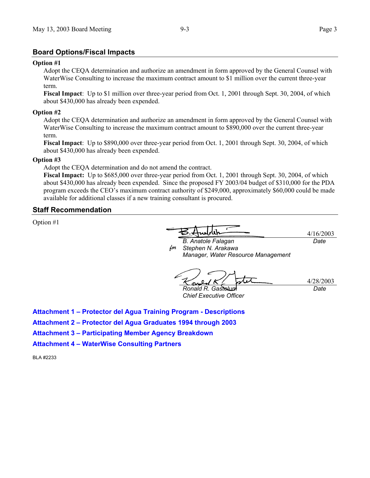#### **Board Options/Fiscal Impacts**

#### **Option #1**

Adopt the CEQA determination and authorize an amendment in form approved by the General Counsel with WaterWise Consulting to increase the maximum contract amount to \$1 million over the current three-year term.

**Fiscal Impact**: Up to \$1 million over three-year period from Oct. 1, 2001 through Sept. 30, 2004, of which about \$430,000 has already been expended.

#### **Option #2**

Adopt the CEQA determination and authorize an amendment in form approved by the General Counsel with WaterWise Consulting to increase the maximum contract amount to \$890,000 over the current three-year term.

**Fiscal Impact**: Up to \$890,000 over three-year period from Oct. 1, 2001 through Sept. 30, 2004, of which about \$430,000 has already been expended.

#### **Option #3**

Adopt the CEQA determination and do not amend the contract.

**Fiscal Impact:** Up to \$685,000 over three-year period from Oct. 1, 2001 through Sept. 30, 2004, of which about \$430,000 has already been expended. Since the proposed FY 2003/04 budget of \$310,000 for the PDA program exceeds the CEO's maximum contract authority of \$249,000, approximately \$60,000 could be made available for additional classes if a new training consultant is procured.

#### **Staff Recommendation**

Option #1

4/16/2003 *Date*

*for Stephen N. Arakawa B. Anatole Falagan Manager, Water Resource Management* 

4/28/2003 *Ronald R. Gastelum Date*

*Chief Executive Officer* 

**Attachment 1 – Protector del Agua Training Program - Descriptions** 

**Attachment 2 – Protector del Agua Graduates 1994 through 2003** 

**Attachment 3 – Participating Member Agency Breakdown** 

**Attachment 4 – WaterWise Consulting Partners** 

BLA #2233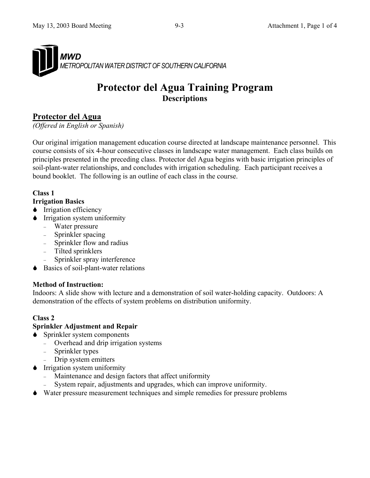

# **Protector del Agua Training Program Descriptions**

## **Protector del Agua**

*(Offered in English or Spanish)* 

Our original irrigation management education course directed at landscape maintenance personnel. This course consists of six 4-hour consecutive classes in landscape water management. Each class builds on principles presented in the preceding class. Protector del Agua begins with basic irrigation principles of soil-plant-water relationships, and concludes with irrigation scheduling. Each participant receives a bound booklet. The following is an outline of each class in the course.

#### **Class 1**

#### **Irrigation Basics**

- $\bullet$  Irrigation efficiency
- $\bullet$  Irrigation system uniformity
	- Water pressure
	- Sprinkler spacing
	- Sprinkler flow and radius
	- Tilted sprinklers
	- Sprinkler spray interference
- Basics of soil-plant-water relations

#### **Method of Instruction:**

Indoors: A slide show with lecture and a demonstration of soil water-holding capacity. Outdoors: A demonstration of the effects of system problems on distribution uniformity.

## **Class 2**

#### **Sprinkler Adjustment and Repair**

- Sprinkler system components
	- Overhead and drip irrigation systems
	- Sprinkler types
		- Drip system emitters
- **Trrigation system uniformity** 
	- Maintenance and design factors that affect uniformity
	- System repair, adjustments and upgrades, which can improve uniformity.
- 6Water pressure measurement techniques and simple remedies for pressure problems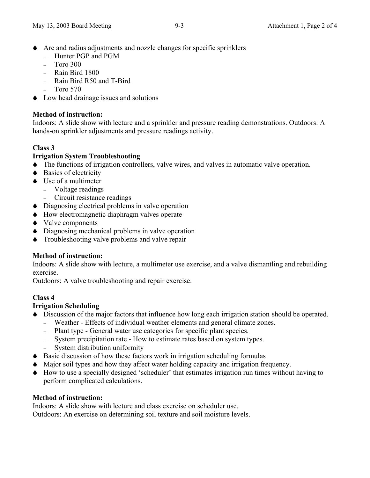- $\blacklozenge$  Arc and radius adjustments and nozzle changes for specific sprinklers
	- Hunter PGP and PGM
	- $-$  Toro 300
	- Rain Bird 1800
	- Rain Bird R50 and T-Bird
		- Toro 570
- Low head drainage issues and solutions

#### **Method of instruction:**

Indoors: A slide show with lecture and a sprinkler and pressure reading demonstrations. Outdoors: A hands-on sprinkler adjustments and pressure readings activity.

## **Class 3**

## **Irrigation System Troubleshooting**

- 6The functions of irrigation controllers, valve wires, and valves in automatic valve operation.
- $\bullet$  Basics of electricity
- $\bullet$  Use of a multimeter
	- Voltage readings
		- Circuit resistance readings
- $\bullet$  Diagnosing electrical problems in valve operation
- $\bullet$  How electromagnetic diaphragm valves operate
- $\blacklozenge$  Valve components
- 6Diagnosing mechanical problems in valve operation
- $\bullet$  Troubleshooting valve problems and valve repair

## **Method of instruction:**

Indoors: A slide show with lecture, a multimeter use exercise, and a valve dismantling and rebuilding exercise.

Outdoors: A valve troubleshooting and repair exercise.

## **Class 4**

## **Irrigation Scheduling**

- 6Discussion of the major factors that influence how long each irrigation station should be operated.
	- Weather Effects of individual weather elements and general climate zones.
	- Plant type General water use categories for specific plant species.
	- System precipitation rate How to estimate rates based on system types. - System distribution uniformity
- $\bullet$  Basic discussion of how these factors work in irrigation scheduling formulas
- 6Major soil types and how they affect water holding capacity and irrigation frequency.
- $\blacklozenge$  How to use a specially designed 'scheduler' that estimates irrigation run times without having to perform complicated calculations.

#### **Method of instruction:**

Indoors: A slide show with lecture and class exercise on scheduler use. Outdoors: An exercise on determining soil texture and soil moisture levels.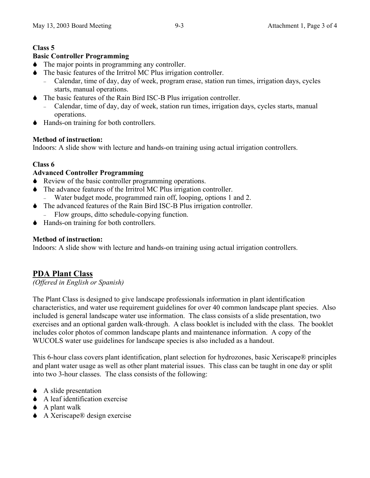## **Class 5**

#### **Basic Controller Programming**

- $\bullet$  The major points in programming any controller.
- $\blacklozenge$  The basic features of the Irritrol MC Plus irrigation controller.
	- Calendar, time of day, day of week, program erase, station run times, irrigation days, cycles starts, manual operations.
- $\blacklozenge$  The basic features of the Rain Bird ISC-B Plus irrigation controller.
	- Calendar, time of day, day of week, station run times, irrigation days, cycles starts, manual operations.
- 6Hands-on training for both controllers.

#### **Method of instruction:**

Indoors: A slide show with lecture and hands-on training using actual irrigation controllers.

#### **Class 6**

#### **Advanced Controller Programming**

- $\blacklozenge$  Review of the basic controller programming operations.
- $\blacklozenge$  The advance features of the Irritrol MC Plus irrigation controller.
	- Water budget mode, programmed rain off, looping, options 1 and 2.
- 6The advanced features of the Rain Bird ISC-B Plus irrigation controller.
	- Flow groups, ditto schedule-copying function.
- 6Hands-on training for both controllers.

#### **Method of instruction:**

Indoors: A slide show with lecture and hands-on training using actual irrigation controllers.

## **PDA Plant Class**

*(Offered in English or Spanish)*

The Plant Class is designed to give landscape professionals information in plant identification characteristics, and water use requirement guidelines for over 40 common landscape plant species. Also included is general landscape water use information. The class consists of a slide presentation, two exercises and an optional garden walk-through. A class booklet is included with the class. The booklet includes color photos of common landscape plants and maintenance information. A copy of the WUCOLS water use guidelines for landscape species is also included as a handout.

This 6-hour class covers plant identification, plant selection for hydrozones, basic Xeriscape® principles and plant water usage as well as other plant material issues. This class can be taught in one day or split into two 3-hour classes. The class consists of the following:

- $\triangle$  A slide presentation
- 6A leaf identification exercise
- $\triangle$  A plant walk
- ◆ A Xeriscape® design exercise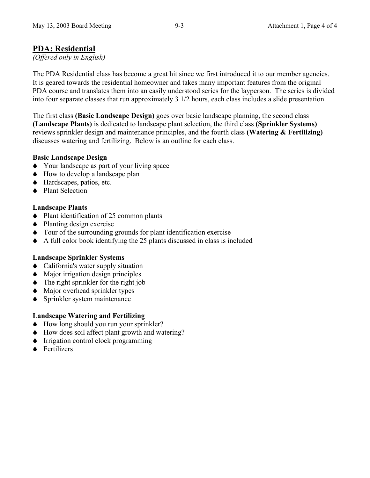## **PDA: Residential**

*(Offered only in English)*

The PDA Residential class has become a great hit since we first introduced it to our member agencies. It is geared towards the residential homeowner and takes many important features from the original PDA course and translates them into an easily understood series for the layperson. The series is divided into four separate classes that run approximately 3 1/2 hours, each class includes a slide presentation.

The first class **(Basic Landscape Design)** goes over basic landscape planning, the second class **(Landscape Plants)** is dedicated to landscape plant selection, the third class **(Sprinkler Systems)** reviews sprinkler design and maintenance principles, and the fourth class **(Watering & Fertilizing)**  discusses watering and fertilizing. Below is an outline for each class.

#### **Basic Landscape Design**

- 6Your landscape as part of your living space
- $\bullet$  How to develop a landscape plan
- ◆ Hardscapes, patios, etc.
- $\bullet$  Plant Selection

## **Landscape Plants**

- $\blacklozenge$  Plant identification of 25 common plants
- $\bullet$  Planting design exercise
- $\bullet$  Tour of the surrounding grounds for plant identification exercise
- 6A full color book identifying the 25 plants discussed in class is included

## **Landscape Sprinkler Systems**

- California's water supply situation
- $\bullet$  Major irrigation design principles
- $\bullet$  The right sprinkler for the right job
- Major overhead sprinkler types
- **◆** Sprinkler system maintenance

## **Landscape Watering and Fertilizing**

- $\bullet$  How long should you run your sprinkler?
- $\bullet$  How does soil affect plant growth and watering?
- $\bullet$  Irrigation control clock programming
- $\bullet$  Fertilizers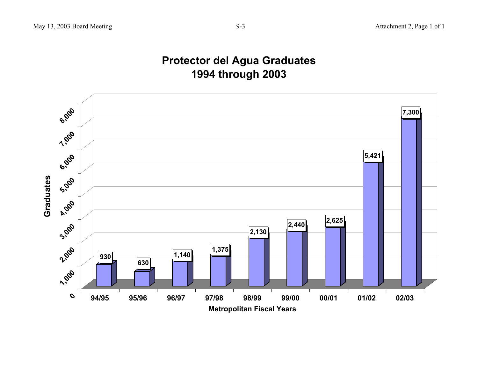# **Protector del Agua Graduates 1994 through 2003**

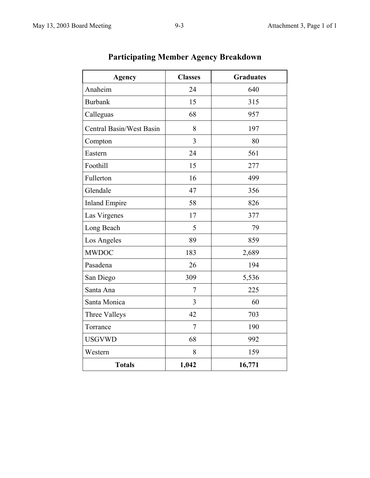| <b>Agency</b>            | <b>Classes</b> | <b>Graduates</b> |
|--------------------------|----------------|------------------|
| Anaheim                  | 24             | 640              |
| <b>Burbank</b>           | 15             | 315              |
| Calleguas                | 68             | 957              |
| Central Basin/West Basin | 8              | 197              |
| Compton                  | $\overline{3}$ | 80               |
| Eastern                  | 24             | 561              |
| Foothill                 | 15             | 277              |
| Fullerton                | 16             | 499              |
| Glendale                 | 47             | 356              |
| <b>Inland Empire</b>     | 58             | 826              |
| Las Virgenes             | 17             | 377              |
| Long Beach               | 5              | 79               |
| Los Angeles              | 89             | 859              |
| <b>MWDOC</b>             | 183            | 2,689            |
| Pasadena                 | 26             | 194              |
| San Diego                | 309            | 5,536            |
| Santa Ana                | 7              | 225              |
| Santa Monica             | 3              | 60               |
| Three Valleys            | 42             | 703              |
| Torrance                 | $\overline{7}$ | 190              |
| <b>USGVWD</b>            | 68             | 992              |
| Western                  | 8              | 159              |
| <b>Totals</b>            | 1,042          | 16,771           |

# **Participating Member Agency Breakdown**